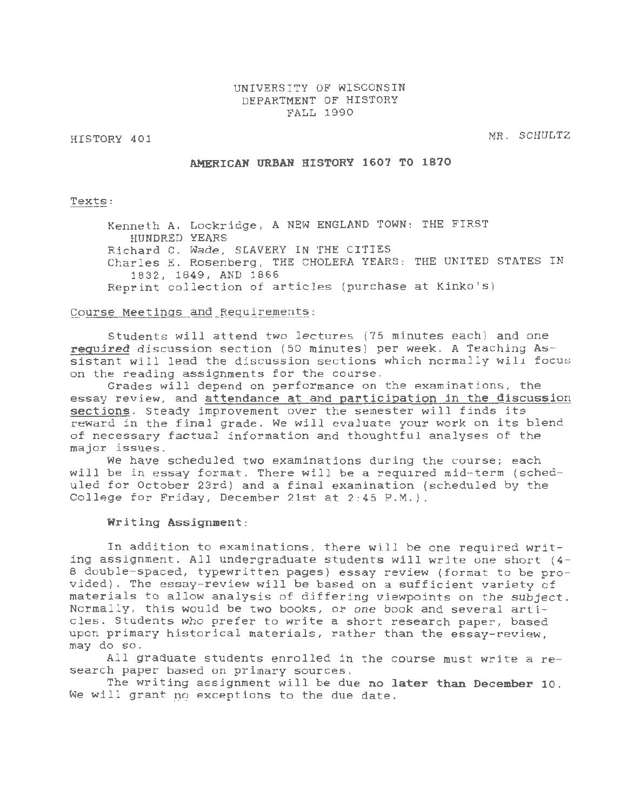## UNIVERSITY OF WISCONSIN DEPARTMENT OF HISTORY FALL 1990

HISTORY 401

MR. SCHULTZ

## AMERICAN URBAN HISTORY 1607 TO 1870

Texts:

Kenneth A. Lockridge, A NEW ENGLAND TOWN: THE FIRST HUNDRED YEARS Richard C. Wade, SLAVERY IN THE CITIES Charles E. Rosenberg, THE CHOLERA YEARS: THE UNITED STATES IN 1832, 1849, AND 1866 Reprint collection of articles (purchase at Kinko's)

### Course Meetings and Requirements:

Students will attend two lectures (75 minutes each) and one required discussion section (50 minutes) per week. A Teaching Assistant will lead the discussion sections which normally will focus on the reading assignments for the course.

Grades will depend on performance on the examinations, the essay review, and attendance at and participation in the discussion sections. Steady improvement over the semester will finds its reward in the final grade. We will evaluate your work on its blend of necessary factual information and thoughtful analyses of the major issues.

We have scheduled two examinations during the course; each will be in essay format. There will be a required mid-term (scheduled for October 23rd) and a final examination (scheduled by the College for Friday, December 21st at 2:45 P.M.).

#### Writing Assignment:

In addition to examinations, there will be one required writing assignment. All undergraduate students will write one short  $(4-$ 8 double-spaced, typewritten pages) essay review (format to be provided). The essay-review will be based on a sufficient variety of materials to allow analysis of differing viewpoints on the subject. Normally, this would be two books, or one book and several articles. Students who prefer to write a short research paper, based upon primary historical materials, rather than the essay-review, may do so.

All graduate students enrolled in the course must write a research paper based on primary sources.

The writing assignment will be due no later than December 10. We will grant no exceptions to the due date.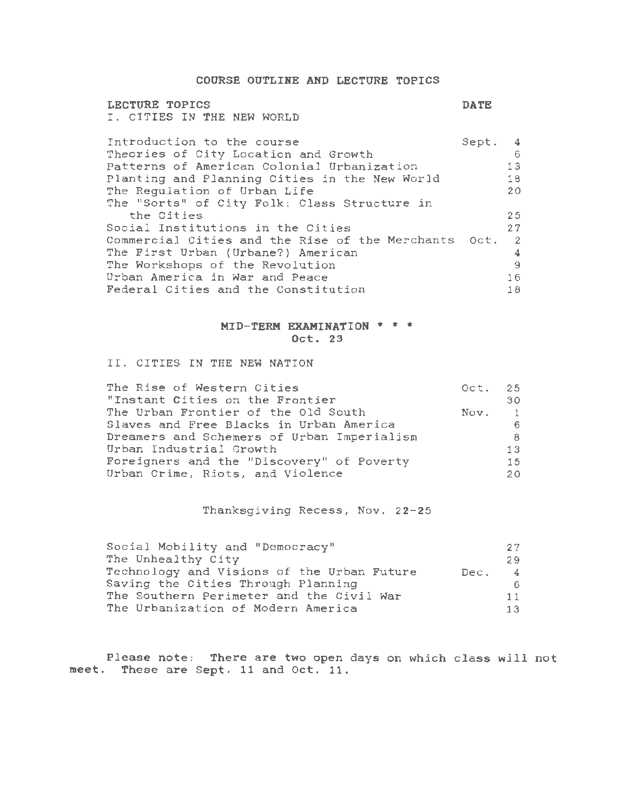COURSE OUTLINE AND LECTURE TOPICS

## LECTURE TOPICS I. CITIES IN THE NEW WORLD

DATE

| Introduction to the course                           | Sept. 4 |                |  |  |  |  |
|------------------------------------------------------|---------|----------------|--|--|--|--|
| Theories of City Location and Growth                 |         | -6             |  |  |  |  |
| Patterns of American Colonial Urbanization           |         | 13             |  |  |  |  |
| Planting and Planning Cities in the New World        |         | 18             |  |  |  |  |
| The Regulation of Urban Life                         |         | 20             |  |  |  |  |
| The "Sorts" of City Folk: Class Structure in         |         |                |  |  |  |  |
| the Cities                                           |         | 25             |  |  |  |  |
| Social Institutions in the Cities                    |         | 27             |  |  |  |  |
| Commercial Cities and the Rise of the Merchants Oct. |         | $\overline{2}$ |  |  |  |  |
| The First Urban (Urbane?) American                   |         | 4              |  |  |  |  |
| The Workshops of the Revolution                      |         | -9             |  |  |  |  |
| Urban America in War and Peace                       |         |                |  |  |  |  |
| Federal Cities and the Constitution                  |         |                |  |  |  |  |

## MID-TERM EXAMINATION \* \* \* Oct. 23

II. CITIES IN THE NEW NATION

| The Rise of Western Cities<br>"Instant Cities on the Frontier | Oct. 25 | 30 |
|---------------------------------------------------------------|---------|----|
| The Urban Frontier of the Old South                           | Nov. 1  |    |
| Slaves and Free Blacks in Urban America                       |         | 6. |
| Dreamers and Schemers of Urban Imperialism                    |         | 8. |
| Urban Industrial Growth                                       |         | 13 |
| Foreigners and the "Discovery" of Poverty                     |         | 15 |
| Urban Crime, Riots, and Violence                              |         | 20 |

Thanksgiving Recess, Nov. 22-25

| Social Mobility and "Democracy"            |        | -27.           |
|--------------------------------------------|--------|----------------|
| The Unhealthy City                         |        | -29            |
| Technology and Visions of the Urban Future | Dec. I | $\overline{4}$ |
| Saving the Cities Through Planning         |        | 6.             |
| The Southern Perimeter and the Civil War   |        | 11             |
| The Urbanization of Modern America         |        | 13.            |

Please note: There are two open days on which class will not meet. These are Sept. 11 and Oct. 11.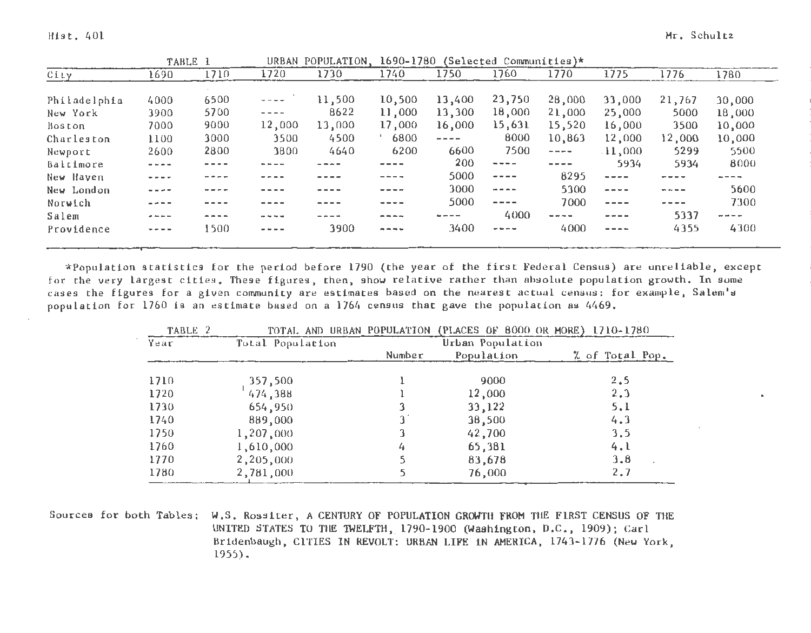|              |             | TABLE 1 |                          | URBAN POPULATION. | 1690-1780   |           | $(Selected Communittes)*$ |             |           |           |                                                         |
|--------------|-------------|---------|--------------------------|-------------------|-------------|-----------|---------------------------|-------------|-----------|-----------|---------------------------------------------------------|
| City         | 1690        | 1710    | 1720                     | 1730              | 1740        | 1750      | 1760                      | 1770        | 1775      | 1776      | 1780                                                    |
| Philadelphia | 4000        | 6500    | $\overline{\phantom{m}}$ | 11,500            | 10,500      | 13,400    | 23,750                    | 28,000      | 33,000    | 21,767    | 30,000                                                  |
| New York     | 3900        | 5700    | $\cdots$                 | 8622              | 11,000      | 13,300    | 18,000                    | 21,000      | 25,000    | 5000      | 18,000                                                  |
| Boston       | 7000        | 9000    | 12,000                   | 13,000            | 17,000      | 16,000    | 15,631                    | 15,520      | 16,000    | 3500      | 10,000                                                  |
| Charleston   | 1100        | 3000    | 3500                     | 4500              | 6800        | $- - - -$ | 8000                      | 10,863      | 12,000    | 12,000    | 10,000                                                  |
| Newport      | 2600        | 2800    | 3800                     | 4640              | 6200        | 6600      | 7500                      | $- - - -$   | $-11,000$ | 5299      | 5500                                                    |
| Baltimore    | $\cdots$    | - - - - |                          |                   |             | 200       | $- - - - -$               | $- - - -$   | 5934      | 5934      | 8000                                                    |
| New Haven    | ----        |         |                          | - - - -           | ----        | 5000      | $- - - -$                 | 8295        | $---$     | - - - -   |                                                         |
| New London   | ----        |         |                          | ----              | ----        | 3000      | $\frac{1}{2}$             | 5300        | $- - - -$ | $- - - -$ | 5600                                                    |
| Norwich      |             |         |                          | ----              | ----        | 5000      | $- - - - -$               | 7000        | $- - - -$ | ----      | 7300                                                    |
| Salem        | ----        | ----    | ----                     |                   | ----        |           | 4000                      | $- - - - -$ | $- - - -$ | 5337      | $\rightarrow$ $\rightarrow$ $\rightarrow$ $\rightarrow$ |
| Providence   | $- - - - -$ | 1500    | $- - - - -$              | 3900              | $- - - - -$ | 3400      | $- - - -$                 | 4000        | $- - - -$ | 4355      | 4300                                                    |
|              |             |         |                          |                   |             |           |                           |             |           |           |                                                         |

\*Population statistics for the period before 1790 (the year of the first Federal Census) are unreliable, except for the very largest cities. These figures, then, show relative rather than absolute population growth. In some cases the figures for a given community are estimates based on the nearest actual census: for example, Salem's population for 1760 is an estimate based on a 1764 census that gave the population as 4469.

| TABLE 2 |                  |        | TOTAL AND URBAN POPULATION (PLACES OF 8000 OR MORE) 1710-1780 |                 |
|---------|------------------|--------|---------------------------------------------------------------|-----------------|
| Year    | Total Population |        | Urban Population                                              |                 |
|         |                  | Number | Population                                                    | % of Total Pop. |
| 1710    | 357,500          |        | 9000                                                          | 2, 5            |
| 1720    | 474,388          |        | 12,000                                                        | 2.3             |
| 1730    | 654,950          |        | 33,122                                                        | 5.1             |
| 1740    | 889,000          | 3.     | 38,500                                                        | 4.3             |
| 1750    | 1,207,000        |        | 42,700                                                        | 3.5             |
| 1760    | 1,610,000        | 4      | 65,381                                                        | 4.1             |
| 1770    | 2,205,000        |        | 83,678                                                        | 3,8             |
| 1780    | 2,781,000        |        | 76,000                                                        | 2,7             |

Sources for both Tables: W.S. Rossiter, A CENTURY OF POPULATION GROWTH FROM TilE FIRST CENSUS OF TilE UNITED STATES TO THE TWELFTH, 1790-1900 (Washington, D.C., 1909); Carl Bridenbaugh, CITIES IN REVOLT: URBAN LIFE IN AMERICA, 1743-1776 (New York, 1955).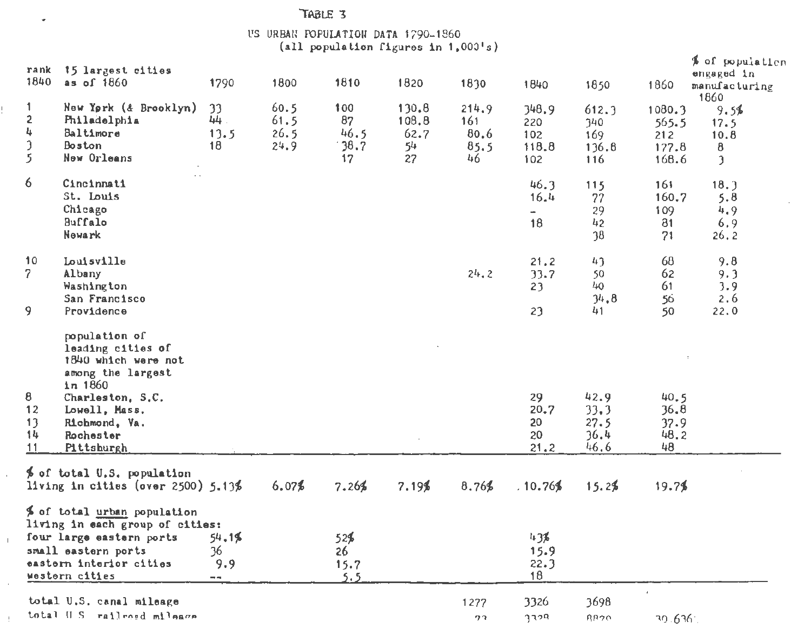# TABLE 3

 $\omega$ 

ţ.

 $\alpha$ 

 $\pm$ 

 $\bar{z}$ 

 $\pm$ 

# US URBAN POPULATION DATA  $1790-1860$ <br>(all population figures in  $1,000's$ )

| rank<br>1840                        | 15 largest cities<br>as of 1860                                                                                                                                              | 1790                                               | 1800                         | 1810                            | 1820                               | 1830                               | 1840                                | 1850                                 | 1860                                     | % of population<br>engaged in<br>manufacturing               |
|-------------------------------------|------------------------------------------------------------------------------------------------------------------------------------------------------------------------------|----------------------------------------------------|------------------------------|---------------------------------|------------------------------------|------------------------------------|-------------------------------------|--------------------------------------|------------------------------------------|--------------------------------------------------------------|
| 1.<br>2<br>4<br>$\mathfrak z$<br>5. | New York (& Brooklyn)<br>Philadelphia<br>Baltimore<br><b>Boston</b><br>New Orleans                                                                                           | 33<br>44.<br>13.5<br>18                            | 60.5<br>61.5<br>26.5<br>24.9 | 100<br>87<br>46.5<br>38.7<br>17 | 130.8<br>108.8<br>62.7<br>54<br>27 | 214.9<br>161<br>80.6<br>85.5<br>46 | 348.9<br>220<br>102<br>118.8<br>102 | 612.3<br>340<br>169<br>136.8<br>116  | 1080.3<br>565.5<br>212<br>177.8<br>168.6 | 1860<br>9.5%<br>17.5<br>10.8<br>8<br>$\overline{\mathbf{z}}$ |
| 6                                   | Cincinnati<br>St. Louis<br>Chicago<br><b>Buffalo</b><br>Newark                                                                                                               |                                                    |                              |                                 |                                    |                                    | 46.3<br>16.4<br>÷<br>18             | 115<br>77<br>29<br>42<br>38          | 161<br>160.7<br>109<br>81<br>71          | 18.3<br>5.8<br>4.9<br>6.9<br>26.2                            |
| 10<br>$\mathcal{P}$<br>9.           | Louisville<br>Albany<br>Washington<br>San Francisco<br>Providence                                                                                                            |                                                    |                              |                                 |                                    | $2^{l_{+}}$ , 2                    | 21.2<br>33.7<br>23<br>23            | 43<br>50<br>40<br>34.8<br>41         | 68<br>62<br>61<br>56<br>50               | 9.8<br>9.3<br>3.9<br>2,6<br>22.0                             |
| 8<br>12<br>13<br>14<br>11           | population of<br>leading cities of<br>1840 which were not<br>among the largest<br>$1n$ 1860<br>Charleston, S.C.<br>Lowell, Mass.<br>Richmond, Va.<br>Rochester<br>Pittsburgh |                                                    |                              |                                 |                                    |                                    | 29<br>20.7<br>20<br>20<br>21.2      | 42.9<br>33.3<br>27.5<br>36.4<br>46.6 | 40.5<br>36.8<br>37.9<br>48.2<br>48       |                                                              |
|                                     | % of total U.S. population<br>living in cities (over $2500$ ) $5.13%$                                                                                                        |                                                    | 6.07%                        | 7.26%                           | $7.19\%$                           | 8,76%                              | .10.76%                             | 15.2%                                | 19.7%                                    |                                                              |
|                                     | % of total urban population<br>living in each group of cities:<br>four large eastern ports<br>small eastern ports<br>eastern interior cities<br>western cities               | 54.1%<br>36.<br>9.9<br>$\rightarrow$ $\rightarrow$ |                              | 52\$<br>26<br>15.7<br>5.5       |                                    |                                    | 436<br>15.9<br>22.3<br>18           |                                      |                                          |                                                              |
|                                     | total U.S. canal mileage<br>total U.S. railroad milears                                                                                                                      |                                                    |                              |                                 |                                    | 1277<br>クマ                         | 3326<br>gaba                        | 3698<br><b>RR20</b>                  | $\mathbf{r}$<br>30.636                   |                                                              |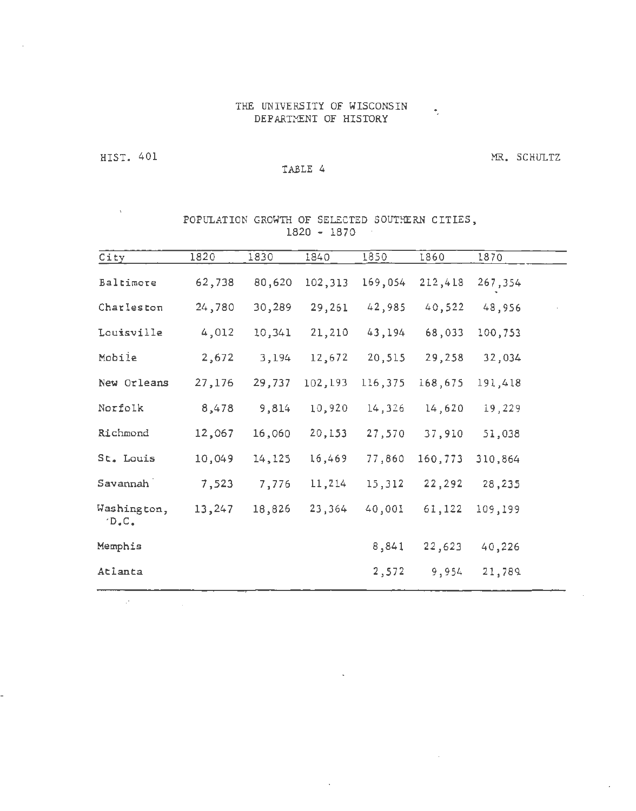# THE UNIVERSITY OF WISCONSIN DEPARTMENT OF HISTORY

HIST. 401

 $\mathcal{F}^{\mathcal{F}}$ 

L,

# TABLE 4

MR. SCHULTZ

 $\sim$   $\sim$ 

# POPULATION GROWTH OF SELECTED SOUTHERN CITIES, 1820 - 1870

| City                   | 1820   | 1830   | 1840    | 1850    | 1860    | 1870    |  |
|------------------------|--------|--------|---------|---------|---------|---------|--|
| Baltimore              | 62,738 | 80,620 | 102,313 | 169,054 | 212,418 | 267,354 |  |
| Charleston             | 24,780 | 30,289 | 29,261  | 42,985  | 40,522  | 48,956  |  |
| Louisville             | 4,012  | 10,341 | 21,210  | 43,194  | 68,033  | 100,753 |  |
| Mobile                 | 2,672  | 3,194  | 12,672  | 20,515  | 29,258  | 32,034  |  |
| New Orleans            | 27,176 | 29,737 | 102,193 | 116,375 | 168,675 | 191,418 |  |
| Norfolk                | 8,478  | 9,814  | 10,920  | 14,326  | 14,620  | 19,229  |  |
| Richmond               | 12,067 | 16,060 | 20,153  | 27,570  | 37,910  | 51,038  |  |
| St. Louis              | 10,049 | 14,125 | 16,469  | 77,860  | 160,773 | 310,864 |  |
| Savannah               | 7,523  | 7,776  | 11,214  | 15,312  | 22,292  | 28,235  |  |
| Washington,<br>$D$ .C. | 13,247 | 18,826 | 23,364  | 40,001  | 61,122  | 109,199 |  |
| Memphis                |        |        |         | 8,841   | 22,623  | 40,226  |  |
| Atlanta                |        |        |         | 2,572   | 9,954   | 21,789  |  |
|                        |        |        |         |         |         |         |  |

 $\sim$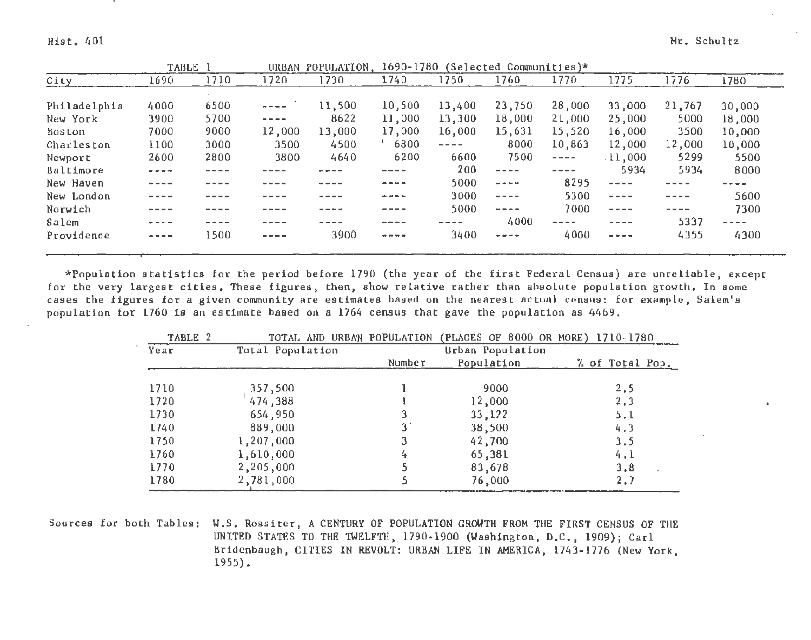|                                                                                                                                                                                                                                                                                                                                                                                              | TABLE 1 |                                                                                                                                                                                                                                                                                                                                                                                              | URBAN POPULATION. |          |                                            | 1690-1780 (Selected Communities)*                                                                                                                                                                                                                                                                                                                                                            |                                                                                                                                                                                                                                                                                                                                                                                              |           |                                                                                                                                                                                                                                                                                                                                                                                              |           |
|----------------------------------------------------------------------------------------------------------------------------------------------------------------------------------------------------------------------------------------------------------------------------------------------------------------------------------------------------------------------------------------------|---------|----------------------------------------------------------------------------------------------------------------------------------------------------------------------------------------------------------------------------------------------------------------------------------------------------------------------------------------------------------------------------------------------|-------------------|----------|--------------------------------------------|----------------------------------------------------------------------------------------------------------------------------------------------------------------------------------------------------------------------------------------------------------------------------------------------------------------------------------------------------------------------------------------------|----------------------------------------------------------------------------------------------------------------------------------------------------------------------------------------------------------------------------------------------------------------------------------------------------------------------------------------------------------------------------------------------|-----------|----------------------------------------------------------------------------------------------------------------------------------------------------------------------------------------------------------------------------------------------------------------------------------------------------------------------------------------------------------------------------------------------|-----------|
| 1690                                                                                                                                                                                                                                                                                                                                                                                         | 1710    | 1720                                                                                                                                                                                                                                                                                                                                                                                         | 1730              | 1740     | 1750                                       | 1760                                                                                                                                                                                                                                                                                                                                                                                         | 1770                                                                                                                                                                                                                                                                                                                                                                                         | 1775      | 1776                                                                                                                                                                                                                                                                                                                                                                                         | 1780      |
|                                                                                                                                                                                                                                                                                                                                                                                              |         |                                                                                                                                                                                                                                                                                                                                                                                              |                   |          |                                            |                                                                                                                                                                                                                                                                                                                                                                                              |                                                                                                                                                                                                                                                                                                                                                                                              |           |                                                                                                                                                                                                                                                                                                                                                                                              |           |
|                                                                                                                                                                                                                                                                                                                                                                                              |         | $\frac{1}{2} \frac{1}{2} \frac{1}{2} \frac{1}{2} \frac{1}{2} \frac{1}{2} \frac{1}{2} \frac{1}{2} \frac{1}{2} \frac{1}{2} \frac{1}{2} \frac{1}{2} \frac{1}{2} \frac{1}{2} \frac{1}{2} \frac{1}{2} \frac{1}{2} \frac{1}{2} \frac{1}{2} \frac{1}{2} \frac{1}{2} \frac{1}{2} \frac{1}{2} \frac{1}{2} \frac{1}{2} \frac{1}{2} \frac{1}{2} \frac{1}{2} \frac{1}{2} \frac{1}{2} \frac{1}{2} \frac{$ |                   |          |                                            |                                                                                                                                                                                                                                                                                                                                                                                              |                                                                                                                                                                                                                                                                                                                                                                                              |           |                                                                                                                                                                                                                                                                                                                                                                                              | 30,000    |
| 3900                                                                                                                                                                                                                                                                                                                                                                                         | 5700    | $\frac{1}{2} \frac{1}{2} \frac{1}{2} \frac{1}{2} \frac{1}{2} \frac{1}{2} \frac{1}{2} \frac{1}{2} \frac{1}{2} \frac{1}{2} \frac{1}{2} \frac{1}{2} \frac{1}{2} \frac{1}{2} \frac{1}{2} \frac{1}{2} \frac{1}{2} \frac{1}{2} \frac{1}{2} \frac{1}{2} \frac{1}{2} \frac{1}{2} \frac{1}{2} \frac{1}{2} \frac{1}{2} \frac{1}{2} \frac{1}{2} \frac{1}{2} \frac{1}{2} \frac{1}{2} \frac{1}{2} \frac{$ | 8622              | 11,000   | 13,300                                     | 18,000                                                                                                                                                                                                                                                                                                                                                                                       | 21,000                                                                                                                                                                                                                                                                                                                                                                                       | 25,000    | 5000                                                                                                                                                                                                                                                                                                                                                                                         | 18,000    |
| 7000                                                                                                                                                                                                                                                                                                                                                                                         | 9000    | 12,000                                                                                                                                                                                                                                                                                                                                                                                       | 13,000            | 17,000   | 16,000                                     | 15,631                                                                                                                                                                                                                                                                                                                                                                                       | 15,520                                                                                                                                                                                                                                                                                                                                                                                       | 16,000    | 3500                                                                                                                                                                                                                                                                                                                                                                                         | 10,000    |
| 1100                                                                                                                                                                                                                                                                                                                                                                                         | 3000    | 3500                                                                                                                                                                                                                                                                                                                                                                                         | 4500              | 6800     | $\mathbf{m} = \mathbf{m} \cdot \mathbf{m}$ | 8000                                                                                                                                                                                                                                                                                                                                                                                         | 10,863                                                                                                                                                                                                                                                                                                                                                                                       | 12,000    | 12,000                                                                                                                                                                                                                                                                                                                                                                                       | 10,000    |
| 2600                                                                                                                                                                                                                                                                                                                                                                                         | 2800    | 3800                                                                                                                                                                                                                                                                                                                                                                                         | 4640              | 6200     | 6600                                       | 7500                                                                                                                                                                                                                                                                                                                                                                                         | $\frac{1}{2} \frac{1}{2} \frac{1}{2} \frac{1}{2} \frac{1}{2} \frac{1}{2} \frac{1}{2} \frac{1}{2} \frac{1}{2} \frac{1}{2} \frac{1}{2} \frac{1}{2} \frac{1}{2} \frac{1}{2} \frac{1}{2} \frac{1}{2} \frac{1}{2} \frac{1}{2} \frac{1}{2} \frac{1}{2} \frac{1}{2} \frac{1}{2} \frac{1}{2} \frac{1}{2} \frac{1}{2} \frac{1}{2} \frac{1}{2} \frac{1}{2} \frac{1}{2} \frac{1}{2} \frac{1}{2} \frac{$ | $-11,000$ | 5299                                                                                                                                                                                                                                                                                                                                                                                         | 5500      |
| $\frac{1}{2} \frac{1}{2} \frac{1}{2} \frac{1}{2} \frac{1}{2} \frac{1}{2} \frac{1}{2} \frac{1}{2} \frac{1}{2} \frac{1}{2} \frac{1}{2} \frac{1}{2} \frac{1}{2} \frac{1}{2} \frac{1}{2} \frac{1}{2} \frac{1}{2} \frac{1}{2} \frac{1}{2} \frac{1}{2} \frac{1}{2} \frac{1}{2} \frac{1}{2} \frac{1}{2} \frac{1}{2} \frac{1}{2} \frac{1}{2} \frac{1}{2} \frac{1}{2} \frac{1}{2} \frac{1}{2} \frac{$ |         |                                                                                                                                                                                                                                                                                                                                                                                              |                   |          | 200                                        | $- - - -$                                                                                                                                                                                                                                                                                                                                                                                    | $- - - -$                                                                                                                                                                                                                                                                                                                                                                                    | 5934      | 5934                                                                                                                                                                                                                                                                                                                                                                                         | 8000      |
| ----                                                                                                                                                                                                                                                                                                                                                                                         |         |                                                                                                                                                                                                                                                                                                                                                                                              |                   | ----     | 5000                                       | $\frac{1}{2} \frac{1}{2} \frac{1}{2} \frac{1}{2} \frac{1}{2} \frac{1}{2} \frac{1}{2} \frac{1}{2} \frac{1}{2} \frac{1}{2} \frac{1}{2} \frac{1}{2} \frac{1}{2} \frac{1}{2} \frac{1}{2} \frac{1}{2} \frac{1}{2} \frac{1}{2} \frac{1}{2} \frac{1}{2} \frac{1}{2} \frac{1}{2} \frac{1}{2} \frac{1}{2} \frac{1}{2} \frac{1}{2} \frac{1}{2} \frac{1}{2} \frac{1}{2} \frac{1}{2} \frac{1}{2} \frac{$ | 8295                                                                                                                                                                                                                                                                                                                                                                                         | $- - - -$ | ----                                                                                                                                                                                                                                                                                                                                                                                         |           |
| ----                                                                                                                                                                                                                                                                                                                                                                                         |         | ----                                                                                                                                                                                                                                                                                                                                                                                         | ----              | ----     | 3000                                       | $- - - -$                                                                                                                                                                                                                                                                                                                                                                                    | 5300                                                                                                                                                                                                                                                                                                                                                                                         | $- - - -$ | $\sim$ $\sim$ $\sim$ $\sim$                                                                                                                                                                                                                                                                                                                                                                  | 5600      |
| ----                                                                                                                                                                                                                                                                                                                                                                                         |         |                                                                                                                                                                                                                                                                                                                                                                                              | ----              | ----     | 5000                                       | <b>All and the Con-</b>                                                                                                                                                                                                                                                                                                                                                                      | 7000                                                                                                                                                                                                                                                                                                                                                                                         | $- - - -$ | $\frac{1}{2} \frac{1}{2} \frac{1}{2} \frac{1}{2} \frac{1}{2} \frac{1}{2} \frac{1}{2} \frac{1}{2} \frac{1}{2} \frac{1}{2} \frac{1}{2} \frac{1}{2} \frac{1}{2} \frac{1}{2} \frac{1}{2} \frac{1}{2} \frac{1}{2} \frac{1}{2} \frac{1}{2} \frac{1}{2} \frac{1}{2} \frac{1}{2} \frac{1}{2} \frac{1}{2} \frac{1}{2} \frac{1}{2} \frac{1}{2} \frac{1}{2} \frac{1}{2} \frac{1}{2} \frac{1}{2} \frac{$ | 7300      |
| ----                                                                                                                                                                                                                                                                                                                                                                                         |         |                                                                                                                                                                                                                                                                                                                                                                                              |                   | ----     |                                            | 4000                                                                                                                                                                                                                                                                                                                                                                                         | the same star                                                                                                                                                                                                                                                                                                                                                                                | $- - - -$ | 5337                                                                                                                                                                                                                                                                                                                                                                                         | $- - - -$ |
| $- - - - -$                                                                                                                                                                                                                                                                                                                                                                                  | 1500    |                                                                                                                                                                                                                                                                                                                                                                                              | 3900              | $\cdots$ | 3400                                       | ----                                                                                                                                                                                                                                                                                                                                                                                         | 4000                                                                                                                                                                                                                                                                                                                                                                                         | $- - - -$ | 4355                                                                                                                                                                                                                                                                                                                                                                                         | 4300      |
|                                                                                                                                                                                                                                                                                                                                                                                              | 4000    | 6500                                                                                                                                                                                                                                                                                                                                                                                         |                   | 11,500   | 10,500                                     | 13,400                                                                                                                                                                                                                                                                                                                                                                                       | 23,750                                                                                                                                                                                                                                                                                                                                                                                       | 28,000    | 33,000                                                                                                                                                                                                                                                                                                                                                                                       | 21,767    |

\*Population statistics for the period before 1790 (the year of the first Federal Census) are unreliable, except for the very largest cities. These figures, then, show relative rather than absolute population growth. In some cases the figures for a given community are estimates based on the nearest actual census: for example, Salem's population for 1760 is an estimate based on a 1764 census that gave the population as 4469.

| TABLE 2 |                  |        | TOTAL AND URBAN POPULATION (PLACES OF 8000 OR MORE) 1710-1780 |                 |
|---------|------------------|--------|---------------------------------------------------------------|-----------------|
| Year    | Total Population |        | Urban Population                                              |                 |
|         |                  | Number | Population                                                    | % of Total Pop. |
| 1710    | 357,500          |        | 9000                                                          | 2, 5            |
|         |                  |        |                                                               |                 |
| 1720    | 474,388          |        | 12,000                                                        | 2, 3            |
| 1730    | 654,950          | 3      | 33,122                                                        | 5.1             |
| 1740    | 889,000          | 3.     | 38,500                                                        | 4.3             |
| 1750    | 1,207,000        |        | 42,700                                                        | 3,5             |
| 1760    | 1,610,000        | 4      | 65,381                                                        | 4,1             |
| 1770    | 2,205,000        |        | 83,678                                                        | 3.8             |
| 1780    | 2,781,000        |        | 76,000                                                        | 2.7             |

Sources for both Tables: W.S. Rossiter, A CENTURY OF POPULATION GROWTH FROM THE FIRST CENSUS OF THE UNITED STATES TO THE TWELFTH, 1790-1900 (Washington, D.C., 1909); Carl Bridenbaugh, CITIES IN REVOLT: URBAN LIFE IN AMERICA, 1743-1776 (New York, 1955).